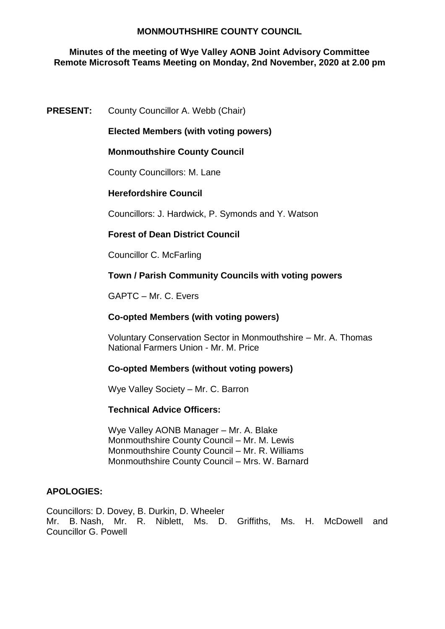### **Minutes of the meeting of Wye Valley AONB Joint Advisory Committee Remote Microsoft Teams Meeting on Monday, 2nd November, 2020 at 2.00 pm**

## **PRESENT:** County Councillor A. Webb (Chair)

## **Elected Members (with voting powers)**

## **Monmouthshire County Council**

County Councillors: M. Lane

# **Herefordshire Council**

Councillors: J. Hardwick, P. Symonds and Y. Watson

## **Forest of Dean District Council**

Councillor C. McFarling

## **Town / Parish Community Councils with voting powers**

GAPTC – Mr. C. Evers

### **Co-opted Members (with voting powers)**

Voluntary Conservation Sector in Monmouthshire – Mr. A. Thomas National Farmers Union - Mr. M. Price

### **Co-opted Members (without voting powers)**

Wye Valley Society – Mr. C. Barron

### **Technical Advice Officers:**

Wye Valley AONB Manager – Mr. A. Blake Monmouthshire County Council – Mr. M. Lewis Monmouthshire County Council – Mr. R. Williams Monmouthshire County Council – Mrs. W. Barnard

### **APOLOGIES:**

Councillors: D. Dovey, B. Durkin, D. Wheeler Mr. B. Nash, Mr. R. Niblett, Ms. D. Griffiths, Ms. H. McDowell and Councillor G. Powell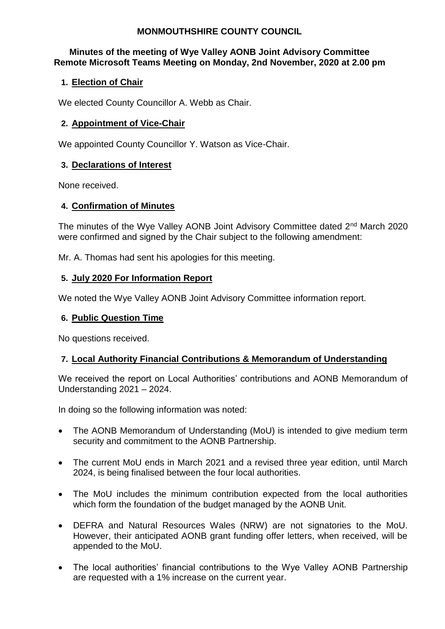## **Minutes of the meeting of Wye Valley AONB Joint Advisory Committee Remote Microsoft Teams Meeting on Monday, 2nd November, 2020 at 2.00 pm**

# **1. Election of Chair**

We elected County Councillor A. Webb as Chair.

## **2. Appointment of Vice-Chair**

We appointed County Councillor Y. Watson as Vice-Chair.

### **3. Declarations of Interest**

None received.

## **4. Confirmation of Minutes**

The minutes of the Wye Valley AONB Joint Advisory Committee dated 2<sup>nd</sup> March 2020 were confirmed and signed by the Chair subject to the following amendment:

Mr. A. Thomas had sent his apologies for this meeting.

## **5. July 2020 For Information Report**

We noted the Wye Valley AONB Joint Advisory Committee information report.

### **6. Public Question Time**

No questions received.

# **7. Local Authority Financial Contributions & Memorandum of Understanding**

We received the report on Local Authorities' contributions and AONB Memorandum of Understanding 2021 – 2024.

In doing so the following information was noted:

- The AONB Memorandum of Understanding (MoU) is intended to give medium term security and commitment to the AONB Partnership.
- The current MoU ends in March 2021 and a revised three year edition, until March 2024, is being finalised between the four local authorities.
- The MoU includes the minimum contribution expected from the local authorities which form the foundation of the budget managed by the AONB Unit.
- DEFRA and Natural Resources Wales (NRW) are not signatories to the MoU. However, their anticipated AONB grant funding offer letters, when received, will be appended to the MoU.
- The local authorities' financial contributions to the Wye Valley AONB Partnership are requested with a 1% increase on the current year.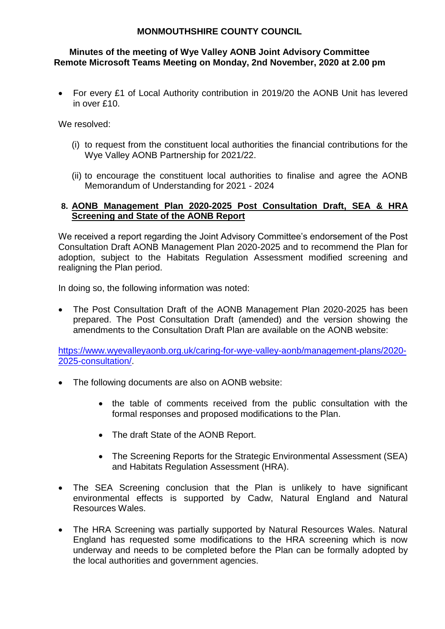### **Minutes of the meeting of Wye Valley AONB Joint Advisory Committee Remote Microsoft Teams Meeting on Monday, 2nd November, 2020 at 2.00 pm**

 For every £1 of Local Authority contribution in 2019/20 the AONB Unit has levered in over £10.

We resolved:

- (i) to request from the constituent local authorities the financial contributions for the Wye Valley AONB Partnership for 2021/22.
- (ii) to encourage the constituent local authorities to finalise and agree the AONB Memorandum of Understanding for 2021 - 2024

## **8. AONB Management Plan 2020-2025 Post Consultation Draft, SEA & HRA Screening and State of the AONB Report**

We received a report regarding the Joint Advisory Committee's endorsement of the Post Consultation Draft AONB Management Plan 2020-2025 and to recommend the Plan for adoption, subject to the Habitats Regulation Assessment modified screening and realigning the Plan period.

In doing so, the following information was noted:

• The Post Consultation Draft of the AONB Management Plan 2020-2025 has been prepared. The Post Consultation Draft (amended) and the version showing the amendments to the Consultation Draft Plan are available on the AONB website:

[https://www.wyevalleyaonb.org.uk/caring-for-wye-valley-aonb/management-plans/2020-](https://www.wyevalleyaonb.org.uk/caring-for-wye-valley-aonb/management-plans/2020-2025-consultation/) [2025-consultation/.](https://www.wyevalleyaonb.org.uk/caring-for-wye-valley-aonb/management-plans/2020-2025-consultation/)

- The following documents are also on AONB website:
	- the table of comments received from the public consultation with the formal responses and proposed modifications to the Plan.
	- The draft State of the AONB Report.
	- The Screening Reports for the Strategic Environmental Assessment (SEA) and Habitats Regulation Assessment (HRA).
- The SEA Screening conclusion that the Plan is unlikely to have significant environmental effects is supported by Cadw, Natural England and Natural Resources Wales.
- The HRA Screening was partially supported by Natural Resources Wales. Natural England has requested some modifications to the HRA screening which is now underway and needs to be completed before the Plan can be formally adopted by the local authorities and government agencies.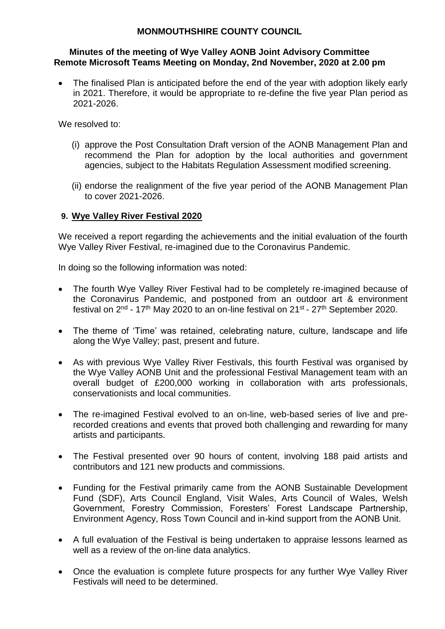#### **Minutes of the meeting of Wye Valley AONB Joint Advisory Committee Remote Microsoft Teams Meeting on Monday, 2nd November, 2020 at 2.00 pm**

 The finalised Plan is anticipated before the end of the year with adoption likely early in 2021. Therefore, it would be appropriate to re-define the five year Plan period as 2021-2026.

We resolved to:

- (i) approve the Post Consultation Draft version of the AONB Management Plan and recommend the Plan for adoption by the local authorities and government agencies, subject to the Habitats Regulation Assessment modified screening.
- (ii) endorse the realignment of the five year period of the AONB Management Plan to cover 2021-2026.

# **9. Wye Valley River Festival 2020**

We received a report regarding the achievements and the initial evaluation of the fourth Wye Valley River Festival, re-imagined due to the Coronavirus Pandemic.

In doing so the following information was noted:

- The fourth Wye Valley River Festival had to be completely re-imagined because of the Coronavirus Pandemic, and postponed from an outdoor art & environment festival on 2<sup>nd</sup> - 17<sup>th</sup> May 2020 to an on-line festival on 21<sup>st</sup> - 27<sup>th</sup> September 2020.
- The theme of 'Time' was retained, celebrating nature, culture, landscape and life along the Wye Valley; past, present and future.
- As with previous Wye Valley River Festivals, this fourth Festival was organised by the Wye Valley AONB Unit and the professional Festival Management team with an overall budget of £200,000 working in collaboration with arts professionals, conservationists and local communities.
- The re-imagined Festival evolved to an on-line, web-based series of live and prerecorded creations and events that proved both challenging and rewarding for many artists and participants.
- The Festival presented over 90 hours of content, involving 188 paid artists and contributors and 121 new products and commissions.
- Funding for the Festival primarily came from the AONB Sustainable Development Fund (SDF), Arts Council England, Visit Wales, Arts Council of Wales, Welsh Government, Forestry Commission, Foresters' Forest Landscape Partnership, Environment Agency, Ross Town Council and in-kind support from the AONB Unit.
- A full evaluation of the Festival is being undertaken to appraise lessons learned as well as a review of the on-line data analytics.
- Once the evaluation is complete future prospects for any further Wye Valley River Festivals will need to be determined.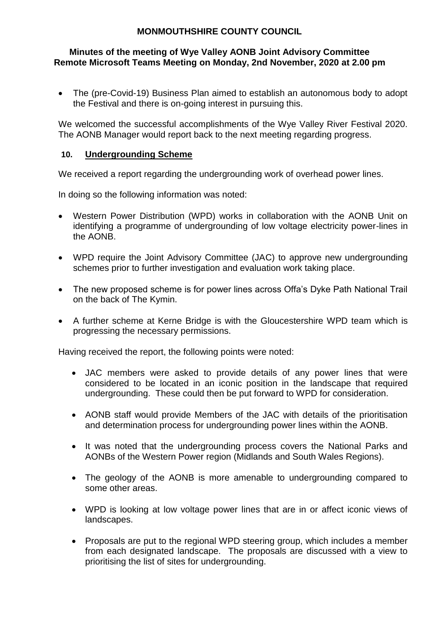## **Minutes of the meeting of Wye Valley AONB Joint Advisory Committee Remote Microsoft Teams Meeting on Monday, 2nd November, 2020 at 2.00 pm**

 The (pre-Covid-19) Business Plan aimed to establish an autonomous body to adopt the Festival and there is on-going interest in pursuing this.

We welcomed the successful accomplishments of the Wye Valley River Festival 2020. The AONB Manager would report back to the next meeting regarding progress.

# **10. Undergrounding Scheme**

We received a report regarding the undergrounding work of overhead power lines.

In doing so the following information was noted:

- Western Power Distribution (WPD) works in collaboration with the AONB Unit on identifying a programme of undergrounding of low voltage electricity power-lines in the AONB.
- WPD require the Joint Advisory Committee (JAC) to approve new undergrounding schemes prior to further investigation and evaluation work taking place.
- The new proposed scheme is for power lines across Offa's Dyke Path National Trail on the back of The Kymin.
- A further scheme at Kerne Bridge is with the Gloucestershire WPD team which is progressing the necessary permissions.

Having received the report, the following points were noted:

- JAC members were asked to provide details of any power lines that were considered to be located in an iconic position in the landscape that required undergrounding. These could then be put forward to WPD for consideration.
- AONB staff would provide Members of the JAC with details of the prioritisation and determination process for undergrounding power lines within the AONB.
- It was noted that the undergrounding process covers the National Parks and AONBs of the Western Power region (Midlands and South Wales Regions).
- The geology of the AONB is more amenable to undergrounding compared to some other areas.
- WPD is looking at low voltage power lines that are in or affect iconic views of landscapes.
- Proposals are put to the regional WPD steering group, which includes a member from each designated landscape. The proposals are discussed with a view to prioritising the list of sites for undergrounding.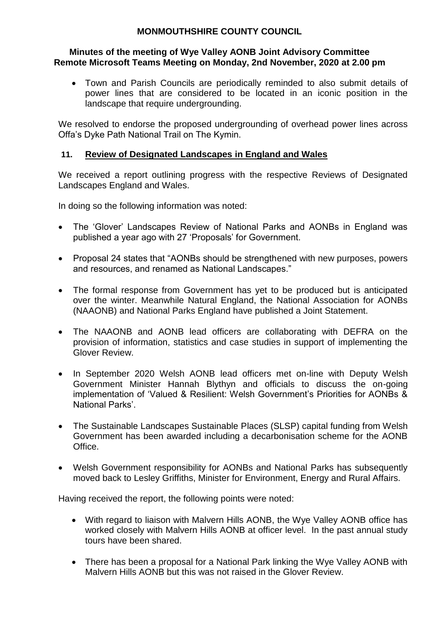#### **Minutes of the meeting of Wye Valley AONB Joint Advisory Committee Remote Microsoft Teams Meeting on Monday, 2nd November, 2020 at 2.00 pm**

 Town and Parish Councils are periodically reminded to also submit details of power lines that are considered to be located in an iconic position in the landscape that require undergrounding.

We resolved to endorse the proposed undergrounding of overhead power lines across Offa's Dyke Path National Trail on The Kymin.

## **11. Review of Designated Landscapes in England and Wales**

We received a report outlining progress with the respective Reviews of Designated Landscapes England and Wales.

In doing so the following information was noted:

- The 'Glover' Landscapes Review of National Parks and AONBs in England was published a year ago with 27 'Proposals' for Government.
- Proposal 24 states that "AONBs should be strengthened with new purposes, powers and resources, and renamed as National Landscapes."
- The formal response from Government has yet to be produced but is anticipated over the winter. Meanwhile Natural England, the National Association for AONBs (NAAONB) and National Parks England have published a Joint Statement.
- The NAAONB and AONB lead officers are collaborating with DEFRA on the provision of information, statistics and case studies in support of implementing the Glover Review.
- In September 2020 Welsh AONB lead officers met on-line with Deputy Welsh Government Minister Hannah Blythyn and officials to discuss the on-going implementation of 'Valued & Resilient: Welsh Government's Priorities for AONBs & National Parks'.
- The Sustainable Landscapes Sustainable Places (SLSP) capital funding from Welsh Government has been awarded including a decarbonisation scheme for the AONB Office.
- Welsh Government responsibility for AONBs and National Parks has subsequently moved back to Lesley Griffiths, Minister for Environment, Energy and Rural Affairs.

Having received the report, the following points were noted:

- With regard to liaison with Malvern Hills AONB, the Wye Valley AONB office has worked closely with Malvern Hills AONB at officer level. In the past annual study tours have been shared.
- There has been a proposal for a National Park linking the Wye Valley AONB with Malvern Hills AONB but this was not raised in the Glover Review.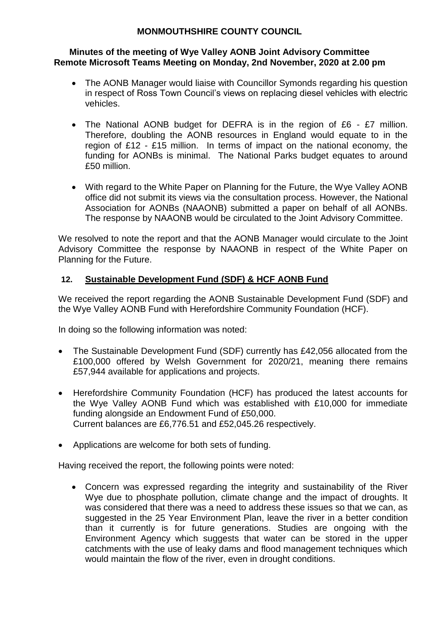#### **Minutes of the meeting of Wye Valley AONB Joint Advisory Committee Remote Microsoft Teams Meeting on Monday, 2nd November, 2020 at 2.00 pm**

- The AONB Manager would liaise with Councillor Symonds regarding his question in respect of Ross Town Council's views on replacing diesel vehicles with electric vehicles.
- The National AONB budget for DEFRA is in the region of £6 £7 million. Therefore, doubling the AONB resources in England would equate to in the region of £12 - £15 million. In terms of impact on the national economy, the funding for AONBs is minimal. The National Parks budget equates to around £50 million.
- With regard to the White Paper on Planning for the Future, the Wye Valley AONB office did not submit its views via the consultation process. However, the National Association for AONBs (NAAONB) submitted a paper on behalf of all AONBs. The response by NAAONB would be circulated to the Joint Advisory Committee.

We resolved to note the report and that the AONB Manager would circulate to the Joint Advisory Committee the response by NAAONB in respect of the White Paper on Planning for the Future.

# **12. Sustainable Development Fund (SDF) & HCF AONB Fund**

We received the report regarding the AONB Sustainable Development Fund (SDF) and the Wye Valley AONB Fund with Herefordshire Community Foundation (HCF).

In doing so the following information was noted:

- The Sustainable Development Fund (SDF) currently has £42,056 allocated from the £100,000 offered by Welsh Government for 2020/21, meaning there remains £57,944 available for applications and projects.
- Herefordshire Community Foundation (HCF) has produced the latest accounts for the Wye Valley AONB Fund which was established with £10,000 for immediate funding alongside an Endowment Fund of £50,000. Current balances are £6,776.51 and £52,045.26 respectively.
- Applications are welcome for both sets of funding.

Having received the report, the following points were noted:

 Concern was expressed regarding the integrity and sustainability of the River Wye due to phosphate pollution, climate change and the impact of droughts. It was considered that there was a need to address these issues so that we can, as suggested in the 25 Year Environment Plan, leave the river in a better condition than it currently is for future generations. Studies are ongoing with the Environment Agency which suggests that water can be stored in the upper catchments with the use of leaky dams and flood management techniques which would maintain the flow of the river, even in drought conditions.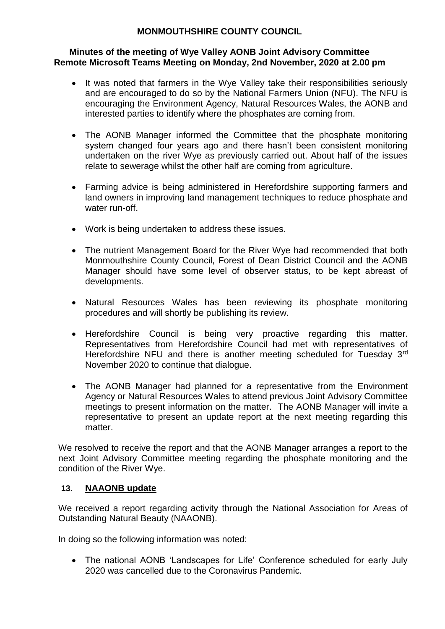### **Minutes of the meeting of Wye Valley AONB Joint Advisory Committee Remote Microsoft Teams Meeting on Monday, 2nd November, 2020 at 2.00 pm**

- It was noted that farmers in the Wye Valley take their responsibilities seriously and are encouraged to do so by the National Farmers Union (NFU). The NFU is encouraging the Environment Agency, Natural Resources Wales, the AONB and interested parties to identify where the phosphates are coming from.
- The AONB Manager informed the Committee that the phosphate monitoring system changed four years ago and there hasn't been consistent monitoring undertaken on the river Wye as previously carried out. About half of the issues relate to sewerage whilst the other half are coming from agriculture.
- Farming advice is being administered in Herefordshire supporting farmers and land owners in improving land management techniques to reduce phosphate and water run-off.
- Work is being undertaken to address these issues.
- The nutrient Management Board for the River Wye had recommended that both Monmouthshire County Council, Forest of Dean District Council and the AONB Manager should have some level of observer status, to be kept abreast of developments.
- Natural Resources Wales has been reviewing its phosphate monitoring procedures and will shortly be publishing its review.
- Herefordshire Council is being very proactive regarding this matter. Representatives from Herefordshire Council had met with representatives of Herefordshire NFU and there is another meeting scheduled for Tuesday 3<sup>rd</sup> November 2020 to continue that dialogue.
- The AONB Manager had planned for a representative from the Environment Agency or Natural Resources Wales to attend previous Joint Advisory Committee meetings to present information on the matter. The AONB Manager will invite a representative to present an update report at the next meeting regarding this matter.

We resolved to receive the report and that the AONB Manager arranges a report to the next Joint Advisory Committee meeting regarding the phosphate monitoring and the condition of the River Wye.

# **13. NAAONB update**

We received a report regarding activity through the National Association for Areas of Outstanding Natural Beauty (NAAONB).

In doing so the following information was noted:

 The national AONB 'Landscapes for Life' Conference scheduled for early July 2020 was cancelled due to the Coronavirus Pandemic.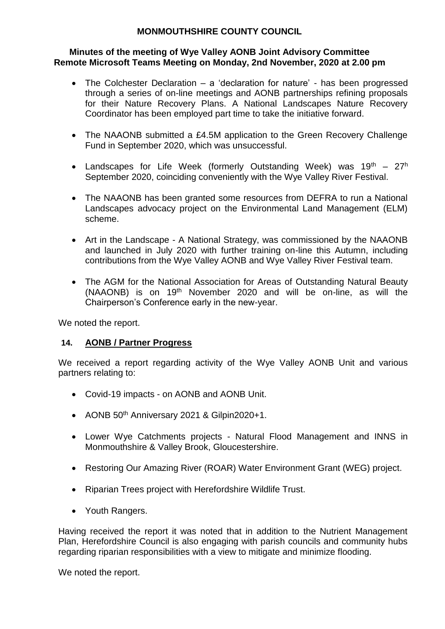### **Minutes of the meeting of Wye Valley AONB Joint Advisory Committee Remote Microsoft Teams Meeting on Monday, 2nd November, 2020 at 2.00 pm**

- The Colchester Declaration a 'declaration for nature' has been progressed through a series of on-line meetings and AONB partnerships refining proposals for their Nature Recovery Plans. A National Landscapes Nature Recovery Coordinator has been employed part time to take the initiative forward.
- The NAAONB submitted a £4.5M application to the Green Recovery Challenge Fund in September 2020, which was unsuccessful.
- Landscapes for Life Week (formerly Outstanding Week) was  $19<sup>th</sup> 27<sup>h</sup>$ September 2020, coinciding conveniently with the Wye Valley River Festival.
- The NAAONB has been granted some resources from DEFRA to run a National Landscapes advocacy project on the Environmental Land Management (ELM) scheme.
- Art in the Landscape A National Strategy, was commissioned by the NAAONB and launched in July 2020 with further training on-line this Autumn, including contributions from the Wye Valley AONB and Wye Valley River Festival team.
- The AGM for the National Association for Areas of Outstanding Natural Beauty (NAAONB) is on 19th November 2020 and will be on-line, as will the Chairperson's Conference early in the new-year.

We noted the report.

### **14. AONB / Partner Progress**

We received a report regarding activity of the Wye Valley AONB Unit and various partners relating to:

- Covid-19 impacts on AONB and AONB Unit.
- AONB 50<sup>th</sup> Anniversary 2021 & Gilpin2020+1.
- Lower Wye Catchments projects Natural Flood Management and INNS in Monmouthshire & Valley Brook, Gloucestershire.
- Restoring Our Amazing River (ROAR) Water Environment Grant (WEG) project.
- Riparian Trees project with Herefordshire Wildlife Trust.
- Youth Rangers.

Having received the report it was noted that in addition to the Nutrient Management Plan, Herefordshire Council is also engaging with parish councils and community hubs regarding riparian responsibilities with a view to mitigate and minimize flooding.

We noted the report.